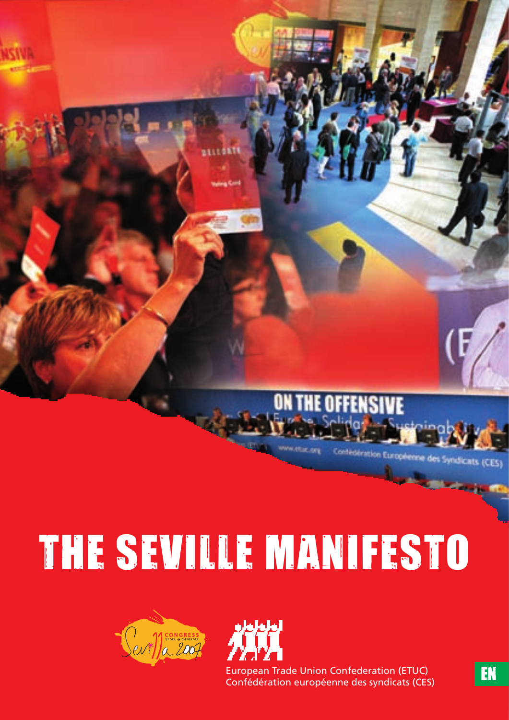(CES)

# The Seville Manifesto





European Trade Union Confederation (ETUC) European Trade Union Confederation (ETUC)<br>
Confédération européenne des syndicats (CES)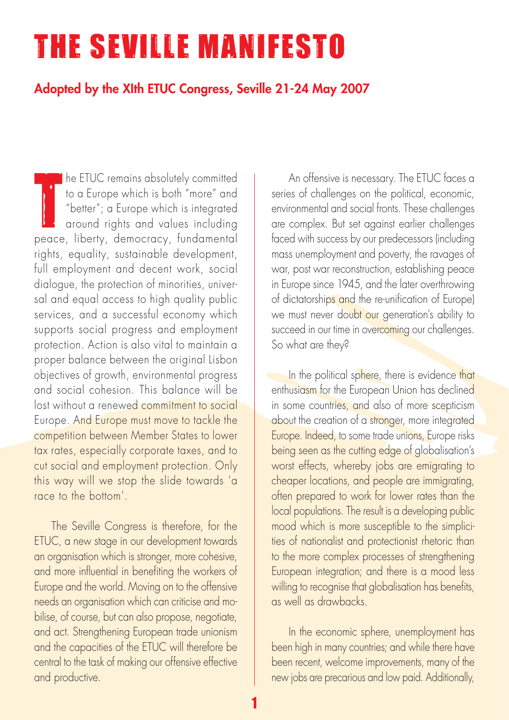# The Seville Manifesto

# Adopted by the XIth ETUC Congress, Seville 21-24 May 2007

The ENCC remains absolutely commined<br>to a Europe which is both "more" and<br>"better"; a Europe which is integrated<br>around rights and values including<br>peace, liberty, democracy, fundamental he ETUC remains absolutely committed to a Europe which is both "more" and "better"; a Europe which is integrated around rights and values including rights, equality, sustainable development, full employment and decent work, social dialogue, the protection of minorities, universal and equal access to high quality public services, and a successful economy which supports social progress and employment protection. Action is also vital to maintain a proper balance between the original Lisbon objectives of growth, environmental progress and social cohesion. This balance will be lost without a renewed commitment to social Europe. And Europe must move to tackle the competition between Member States to lower tax rates, especially corporate taxes, and to cut social and employment protection. Only this way will we stop the slide towards 'a race to the bottom'.

The Seville Congress is therefore, for the ETUC, a new stage in our development towards an organisation which is stronger, more cohesive, and more influential in benefiting the workers of Europe and the world. Moving on to the offensive needs an organisation which can criticise and mobilise, of course, but can also propose, negotiate, and act. Strengthening European trade unionism and the capacities of the ETUC will therefore be central to the task of making our offensive effective and productive.

An offensive is necessary. The ETUC faces a series of challenges on the political, economic, environmental and social fronts. These challenges are complex. But set against earlier challenges faced with success by our predecessors (including mass unemployment and poverty, the ravages of war, post war reconstruction, establishing peace in Europe since 1945, and the later overthrowing of dictatorships and the re-unification of Europe) we must never doubt our generation's ability to succeed in our time in overcoming our challenges. So what are they?

In the political sphere, there is evidence that enthusiasm for the European Union has declined in some countries, and also of more scepticism about the creation of a stronger, more integrated Europe. Indeed, to some trade unions, Europe risks being seen as the cutting edge of globalisation's worst effects, whereby jobs are emigrating to cheaper locations, and people are immigrating, often prepared to work for lower rates than the local populations. The result is a developing public mood which is more susceptible to the simplicities of nationalist and protectionist rhetoric than to the more complex processes of strengthening European integration; and there is a mood less willing to recognise that globalisation has benefits, as well as drawbacks.

In the economic sphere, unemployment has been high in many countries; and while there have been recent, welcome improvements, many of the new jobs are precarious and low paid. Additionally,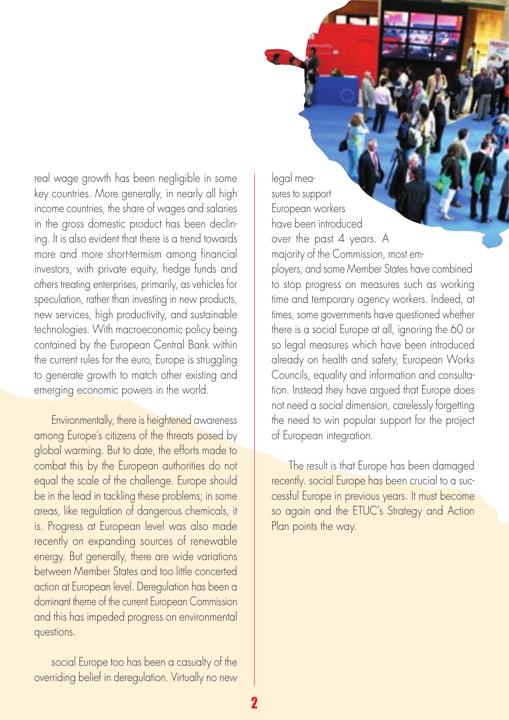real wage growth has been negligible in some key countries. More generally, in nearly all high income countries, the share of wages and salaries in the gross domestic product has been declining. It is also evident that there is a trend towards more and more short-termism among financial investors, with private equity, hedge funds and others treating enterprises, primarily, as vehicles for speculation, rather than investing in new products, new services, high productivity, and sustainable technologies. With macroeconomic policy being contained by the European Central Bank within the current rules for the euro, Europe is struggling to generate growth to match other existing and emerging economic powers in the world.

Environmentally, there is heightened awareness among Europe's citizens of the threats posed by global warming. But to date, the efforts made to combat this by the European authorities do not equal the scale of the challenge. Europe should be in the lead in tackling these problems; in some areas, like regulation of dangerous chemicals, it is. Progress at European level was also made recently on expanding sources of renewable energy. But generally, there are wide variations between Member States and too little concerted action at European level. Deregulation has been a dominant theme of the current European Commission and this has impeded progress on environmental questions.

social Europe too has been a casualty of the overriding belief in deregulation. Virtually no new legal measures to support European workers have been introduced over the past 4 years. A majority of the Commission, most employers, and some Member States have combined to stop progress on measures such as working time and temporary agency workers. Indeed, at times, some governments have questioned whether there is a social Europe at all, ignoring the 60 or so legal measures which have been introduced already on health and safety, European Works Councils, equality and information and consultation. Instead they have argued that Europe does not need a social dimension, carelessly forgetting the need to win popular support for the project of European integration.

The result is that Europe has been damaged recently. social Europe has been crucial to a successful Europe in previous years. It must become so again and the ETUC's Strategy and Action Plan points the way.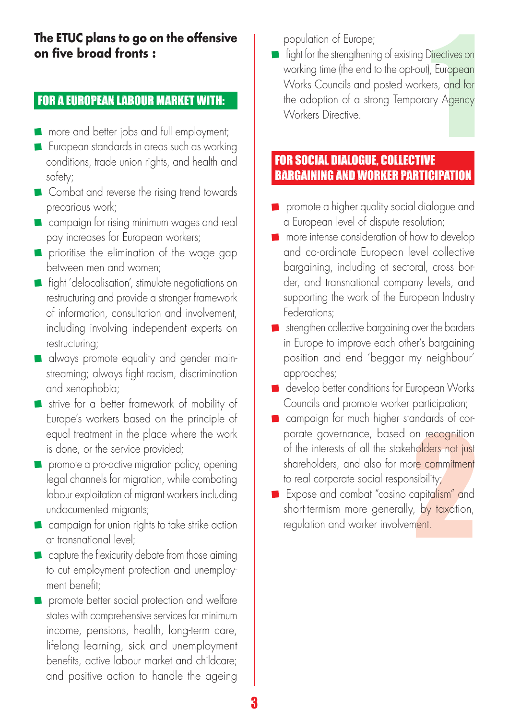#### **The ETUC plans to go on the offensive on five broad fronts :**

#### For a European labour market with:

- **n** more and better jobs and full employment;
- **European standards in areas such as working** conditions, trade union rights, and health and safety;
- **Combat and reverse the rising trend towards** precarious work;
- **Campaign for rising minimum wages and real** pay increases for European workers;
- **P** prioritise the elimination of the wage gap between men and women;
- **fight** 'delocalisation', stimulate negotiations on restructuring and provide a stronger framework of information, consultation and involvement, including involving independent experts on restructuring;
- **a** always promote equality and gender mainstreaming; always fight racism, discrimination and xenophobia;
- strive for a better framework of mobility of Europe's workers based on the principle of equal treatment in the place where the work is done, or the service provided;
- **promote a pro-active migration policy, opening** legal channels for migration, while combating labour exploitation of migrant workers including undocumented migrants;
- **E** campaign for union rights to take strike action at transnational level;
- capture the flexicurity debate from those aiming to cut employment protection and unemployment benefit;
- **P** promote better social protection and welfare states with comprehensive services for minimum income, pensions, health, long-term care, lifelong learning, sick and unemployment benefits, active labour market and childcare; and positive action to handle the ageing

population of Europe;

**Fight for the strengthening of existing Directives on** working time (the end to the opt-out), European Works Councils and posted workers, and for the adoption of a strong Temporary Agency Workers Directive.

## For social dialogue, collective bargaining and worker participation

- **P** promote a higher quality social dialogue and a European level of dispute resolution;
- **n** more intense consideration of how to develop and co-ordinate European level collective bargaining, including at sectoral, cross border, and transnational company levels, and supporting the work of the European Industry Federations;
- strengthen collective bargaining over the borders in Europe to improve each other's bargaining position and end 'beggar my neighbour' approaches;
- develop better conditions for European Works Councils and promote worker participation;
- **n** campaign for much higher standards of corporate governance, based on recognition of the interests of all the stakeholders not just shareholders, and also for more commitment to real corporate social responsibility;
- **Expose and combat "casino capitalism" and** short-termism more generally, by taxation, regulation and worker involvement.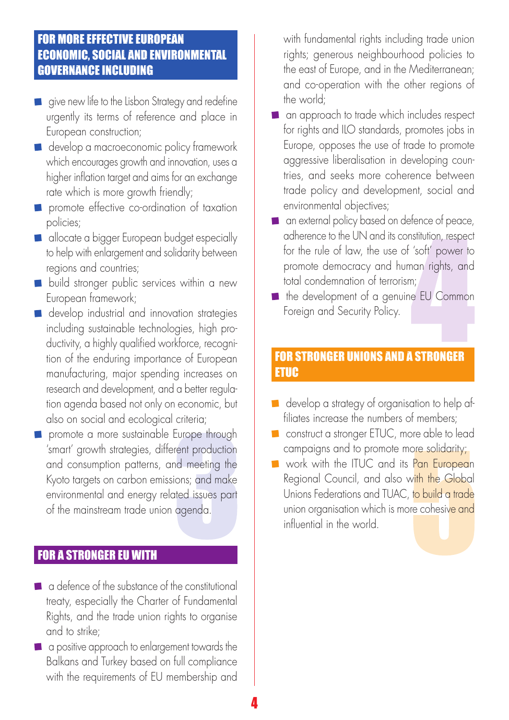## For more effective European economic, social and environmental governance including

- $\blacksquare$  give new life to the Lisbon Strategy and redefine urgently its terms of reference and place in European construction;
- develop a macroeconomic policy framework which encourages growth and innovation, uses a higher inflation target and aims for an exchange rate which is more growth friendly;
- **P** promote effective co-ordination of taxation policies;
- allocate a bigger European budget especially to help with enlargement and solidarity between regions and countries;
- **build stronger public services within a new** European framework;
- **develop industrial and innovation strategies** including sustainable technologies, high productivity, a highly qualified workforce, recognition of the enduring importance of European manufacturing, major spending increases on research and development, and a better regulation agenda based not only on economic, but also on social and ecological criteria;
- **P** promote a more sustainable Europe through 'smart' growth strategies, different production and consumption patterns, and meeting the Kyoto targets on carbon emissions; and make environmental and energy related issues part of the mainstream trade union agenda.

# **FOR A STRONGER EU WITH**

- a defence of the substance of the constitutional treaty, especially the Charter of Fundamental Rights, and the trade union rights to organise and to strike;
- **a** a positive approach to enlargement towards the Balkans and Turkey based on full compliance with the requirements of EU membership and

with fundamental rights including trade union rights; generous neighbourhood policies to the east of Europe, and in the Mediterranean; and co-operation with the other regions of the world;

- **n** an approach to trade which includes respect for rights and ILO standards, promotes jobs in Europe, opposes the use of trade to promote aggressive liberalisation in developing countries, and seeks more coherence between trade policy and development, social and environmental objectives;
- **a** an external policy based on defence of peace, adherence to the UN and its constitution, respect for the rule of law, the use of 'soft' power to promote democracy and human rights, and total condemnation of terrorism;
- the development of a genuine EU Common Foreign and Security Policy.

#### For stronger unions and a stronger **ETUC**

- develop a strategy of organisation to help affiliates increase the numbers of members;
- **Construct a stronger ETUC, more able to lead** campaigns and to promote more solidarity;
- work with the ITUC and its Pan European Regional Council, and also with the Global Unions Federations and TUAC, to build a trade union organisation which is more cohesive and influential in the world.